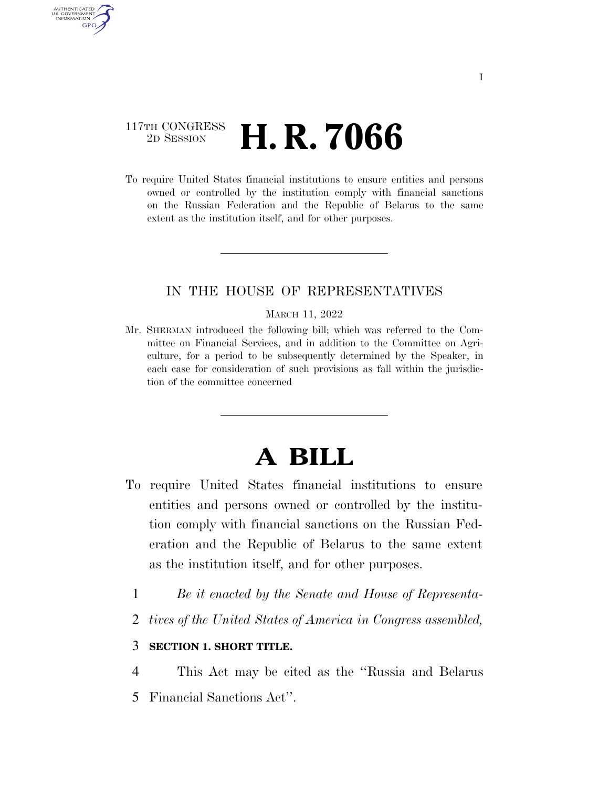# 117TH CONGRESS <sup>2D SESSION</sup> **H. R. 7066**

AUTHENTICATED U.S. GOVERNMENT **GPO** 

> To require United States financial institutions to ensure entities and persons owned or controlled by the institution comply with financial sanctions on the Russian Federation and the Republic of Belarus to the same extent as the institution itself, and for other purposes.

### IN THE HOUSE OF REPRESENTATIVES

#### MARCH 11, 2022

Mr. SHERMAN introduced the following bill; which was referred to the Committee on Financial Services, and in addition to the Committee on Agriculture, for a period to be subsequently determined by the Speaker, in each case for consideration of such provisions as fall within the jurisdiction of the committee concerned

# **A BILL**

- To require United States financial institutions to ensure entities and persons owned or controlled by the institution comply with financial sanctions on the Russian Federation and the Republic of Belarus to the same extent as the institution itself, and for other purposes.
	- 1 *Be it enacted by the Senate and House of Representa-*
	- 2 *tives of the United States of America in Congress assembled,*

## 3 **SECTION 1. SHORT TITLE.**

4 This Act may be cited as the ''Russia and Belarus 5 Financial Sanctions Act''.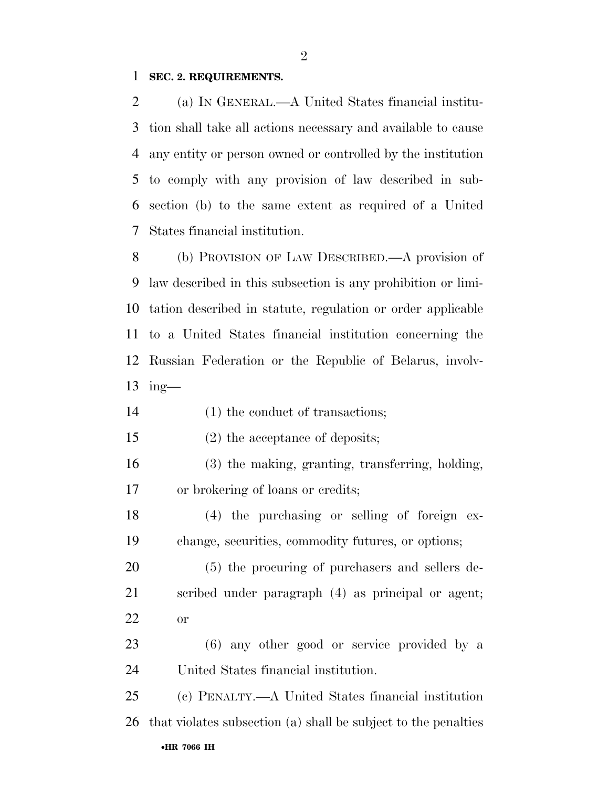### **SEC. 2. REQUIREMENTS.**

 (a) IN GENERAL.—A United States financial institu- tion shall take all actions necessary and available to cause any entity or person owned or controlled by the institution to comply with any provision of law described in sub- section (b) to the same extent as required of a United States financial institution.

 (b) PROVISION OF LAW DESCRIBED.—A provision of law described in this subsection is any prohibition or limi- tation described in statute, regulation or order applicable to a United States financial institution concerning the Russian Federation or the Republic of Belarus, involv-ing—

- 14 (1) the conduct of transactions;
- (2) the acceptance of deposits;
- (3) the making, granting, transferring, holding, or brokering of loans or credits;

 (4) the purchasing or selling of foreign ex-change, securities, commodity futures, or options;

 (5) the procuring of purchasers and sellers de- scribed under paragraph (4) as principal or agent; or

 (6) any other good or service provided by a United States financial institution.

•**HR 7066 IH** (c) PENALTY.—A United States financial institution that violates subsection (a) shall be subject to the penalties